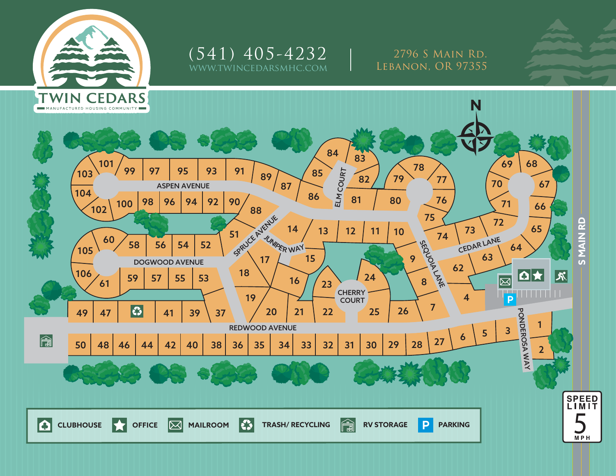

wincedarsmhc.com  $(541)$   $405 - 4232$  | 2796 S Main Rd.

Lebanon, OR 97355